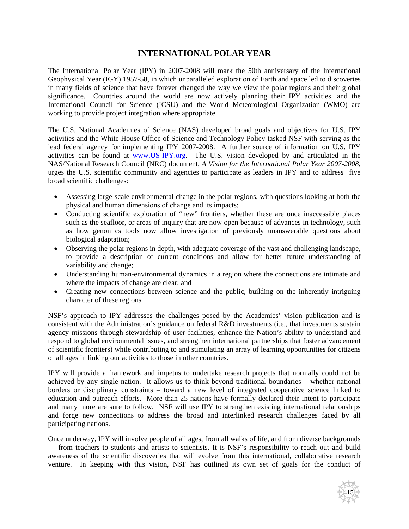# **INTERNATIONAL POLAR YEAR**

The International Polar Year (IPY) in 2007-2008 will mark the 50th anniversary of the International Geophysical Year (IGY) 1957-58, in which unparalleled exploration of Earth and space led to discoveries in many fields of science that have forever changed the way we view the polar regions and their global significance. Countries around the world are now actively planning their IPY activities, and the International Council for Science (ICSU) and the World Meteorological Organization (WMO) are working to provide project integration where appropriate.

The U.S. National Academies of Science (NAS) developed broad goals and objectives for U.S. IPY activities and the White House Office of Science and Technology Policy tasked NSF with serving as the lead federal agency for implementing IPY 2007-2008. A further source of information on U.S. IPY activities can be found at www.US-IPY.org. The U.S. vision developed by and articulated in the NAS/National Research Council (NRC) document, *A Vision for the International Polar Year 2007-2008*, urges the U.S. scientific community and agencies to participate as leaders in IPY and to address five broad scientific challenges:

- Assessing large-scale environmental change in the polar regions, with questions looking at both the physical and human dimensions of change and its impacts;
- Conducting scientific exploration of "new" frontiers, whether these are once inaccessible places such as the seafloor, or areas of inquiry that are now open because of advances in technology, such as how genomics tools now allow investigation of previously unanswerable questions about biological adaptation;
- Observing the polar regions in depth, with adequate coverage of the vast and challenging landscape, to provide a description of current conditions and allow for better future understanding of variability and change;
- Understanding human-environmental dynamics in a region where the connections are intimate and where the impacts of change are clear; and
- Creating new connections between science and the public, building on the inherently intriguing character of these regions.

NSF's approach to IPY addresses the challenges posed by the Academies' vision publication and is consistent with the Administration's guidance on federal R&D investments (i.e., that investments sustain agency missions through stewardship of user facilities, enhance the Nation's ability to understand and respond to global environmental issues, and strengthen international partnerships that foster advancement of scientific frontiers) while contributing to and stimulating an array of learning opportunities for citizens of all ages in linking our activities to those in other countries.

IPY will provide a framework and impetus to undertake research projects that normally could not be achieved by any single nation. It allows us to think beyond traditional boundaries – whether national borders or disciplinary constraints – toward a new level of integrated cooperative science linked to education and outreach efforts. More than 25 nations have formally declared their intent to participate and many more are sure to follow. NSF will use IPY to strengthen existing international relationships and forge new connections to address the broad and interlinked research challenges faced by all participating nations.

Once underway, IPY will involve people of all ages, from all walks of life, and from diverse backgrounds — from teachers to students and artists to scientists. It is NSF's responsibility to reach out and build awareness of the scientific discoveries that will evolve from this international, collaborative research venture. In keeping with this vision, NSF has outlined its own set of goals for the conduct of

415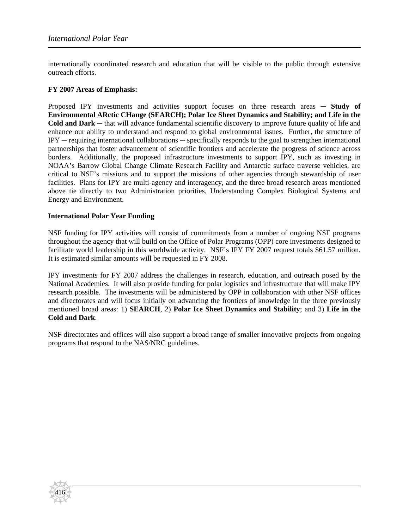internationally coordinated research and education that will be visible to the public through extensive outreach efforts.

### **FY 2007 Areas of Emphasis:**

Proposed IPY investments and activities support focuses on three research areas ─ **Study of Environmental ARctic CHange (SEARCH); Polar Ice Sheet Dynamics and Stability; and Life in the Cold and Dark** ─ that will advance fundamental scientific discovery to improve future quality of life and enhance our ability to understand and respond to global environmental issues. Further, the structure of IPY ─ requiring international collaborations ─ specifically responds to the goal to strengthen international partnerships that foster advancement of scientific frontiers and accelerate the progress of science across borders. Additionally, the proposed infrastructure investments to support IPY, such as investing in NOAA's Barrow Global Change Climate Research Facility and Antarctic surface traverse vehicles, are critical to NSF's missions and to support the missions of other agencies through stewardship of user facilities. Plans for IPY are multi-agency and interagency, and the three broad research areas mentioned above tie directly to two Administration priorities, Understanding Complex Biological Systems and Energy and Environment.

### **International Polar Year Funding**

416

NSF funding for IPY activities will consist of commitments from a number of ongoing NSF programs throughout the agency that will build on the Office of Polar Programs (OPP) core investments designed to facilitate world leadership in this worldwide activity. NSF's IPY FY 2007 request totals \$61.57 million. It is estimated similar amounts will be requested in FY 2008.

IPY investments for FY 2007 address the challenges in research, education, and outreach posed by the National Academies. It will also provide funding for polar logistics and infrastructure that will make IPY research possible. The investments will be administered by OPP in collaboration with other NSF offices and directorates and will focus initially on advancing the frontiers of knowledge in the three previously mentioned broad areas: 1) **SEARCH**, 2) **Polar Ice Sheet Dynamics and Stability**; and 3) **Life in the Cold and Dark**.

NSF directorates and offices will also support a broad range of smaller innovative projects from ongoing programs that respond to the NAS/NRC guidelines.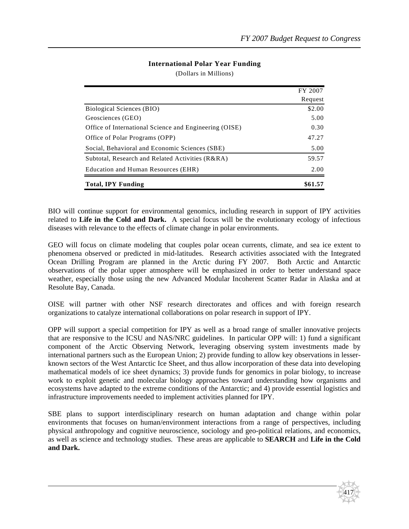## **International Polar Year Funding**

(Dollars in Millions)

|                                                        | FY 2007 |
|--------------------------------------------------------|---------|
|                                                        | Request |
| Biological Sciences (BIO)                              | \$2.00  |
| Geosciences (GEO)                                      | 5.00    |
| Office of International Science and Engineering (OISE) | 0.30    |
| Office of Polar Programs (OPP)                         | 47.27   |
| Social, Behavioral and Economic Sciences (SBE)         | 5.00    |
| Subtotal, Research and Related Activities (R&RA)       | 59.57   |
| Education and Human Resources (EHR)                    | 2.00    |
| <b>Total, IPY Funding</b>                              | \$61.57 |

BIO will continue support for environmental genomics, including research in support of IPY activities related to **Life in the Cold and Dark.** A special focus will be the evolutionary ecology of infectious diseases with relevance to the effects of climate change in polar environments.

GEO will focus on climate modeling that couples polar ocean currents, climate, and sea ice extent to phenomena observed or predicted in mid-latitudes. Research activities associated with the Integrated Ocean Drilling Program are planned in the Arctic during FY 2007. Both Arctic and Antarctic observations of the polar upper atmosphere will be emphasized in order to better understand space weather, especially those using the new Advanced Modular Incoherent Scatter Radar in Alaska and at Resolute Bay, Canada.

OISE will partner with other NSF research directorates and offices and with foreign research organizations to catalyze international collaborations on polar research in support of IPY.

OPP will support a special competition for IPY as well as a broad range of smaller innovative projects that are responsive to the ICSU and NAS/NRC guidelines. In particular OPP will: 1) fund a significant component of the Arctic Observing Network, leveraging observing system investments made by international partners such as the European Union; 2) provide funding to allow key observations in lesserknown sectors of the West Antarctic Ice Sheet, and thus allow incorporation of these data into developing mathematical models of ice sheet dynamics; 3) provide funds for genomics in polar biology, to increase work to exploit genetic and molecular biology approaches toward understanding how organisms and ecosystems have adapted to the extreme conditions of the Antarctic; and 4) provide essential logistics and infrastructure improvements needed to implement activities planned for IPY.

SBE plans to support interdisciplinary research on human adaptation and change within polar environments that focuses on human/environment interactions from a range of perspectives, including physical anthropology and cognitive neuroscience, sociology and geo-political relations, and economics, as well as science and technology studies. These areas are applicable to **SEARCH** and **Life in the Cold and Dark.**